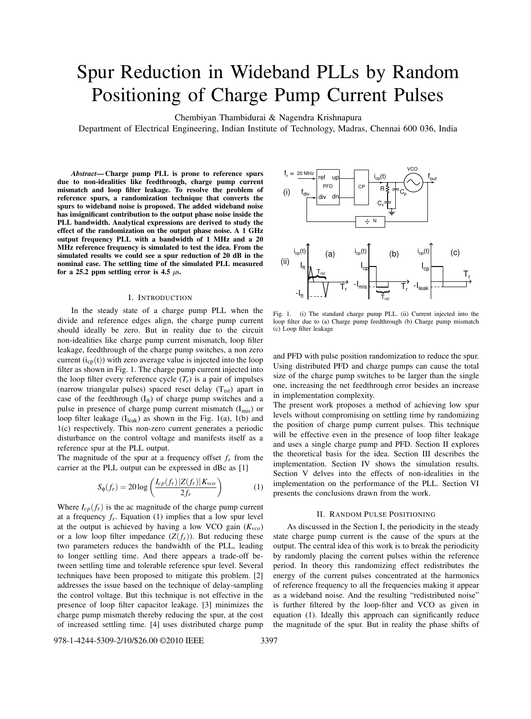# Spur Reduction in Wideband PLLs by Random Positioning of Charge Pump Current Pulses

Chembiyan Thambidurai & Nagendra Krishnapura

Department of Electrical Engineering, Indian Institute of Technology, Madras, Chennai 600 036, India

*Abstract***— Charge pump PLL is prone to reference spurs due to non-idealities like feedthrough, charge pump current mismatch and loop filter leakage. To resolve the problem of reference spurs, a randomization technique that converts the spurs to wideband noise is proposed. The added wideband noise has insignificant contribution to the output phase noise inside the PLL bandwidth. Analytical expressions are derived to study the effect of the randomization on the output phase noise. A 1 GHz output frequency PLL with a bandwidth of 1 MHz and a 20 MHz reference frequency is simulated to test the idea. From the simulated results we could see a spur reduction of 20 dB in the nominal case. The settling time of the simulated PLL measured for a**  $25.2$  **ppm** settling **error** is  $4.5 \mu s$ .

### I. INTRODUCTION

In the steady state of a charge pump PLL when the divide and reference edges align, the charge pump current should ideally be zero. But in reality due to the circuit non-idealities like charge pump current mismatch, loop filter leakage, feedthrough of the charge pump switches, a non zero current  $(i_{cp}(t))$  with zero average value is injected into the loop filter as shown in Fig. 1. The charge pump current injected into the loop filter every reference cycle  $(T_r)$  is a pair of impulses (narrow triangular pulses) spaced reset delay  $(T_{rst})$  apart in case of the feedthrough  $(I_{ft})$  of charge pump switches and a pulse in presence of charge pump current mismatch  $(I_{mis})$  or loop filter leakage  $(I<sub>leak</sub>)$  as shown in the Fig. 1(a), 1(b) and 1(c) respectively. This non-zero current generates a periodic disturbance on the control voltage and manifests itself as a reference spur at the PLL output.

The magnitude of the spur at a frequency offset *f<sup>r</sup>* from the carrier at the PLL output can be expressed in dBc as [1]

$$
S_{\phi}(f_r) = 20\log\left(\frac{I_{cp}(f_r)|Z(f_r)|K_{vco}}{2f_r}\right) \tag{1}
$$

Where  $I_{cp}(f_r)$  is the ac magnitude of the charge pump current at a frequency  $f_r$ . Equation (1) implies that a low spur level at the output is achieved by having a low VCO gain (*Kvco*) or a low loop filter impedance  $(Z(f_r))$ . But reducing these two parameters reduces the bandwidth of the PLL, leading to longer settling time. And there appears a trade-off between settling time and tolerable reference spur level. Several techniques have been proposed to mitigate this problem. [2] addresses the issue based on the technique of delay-sampling the control voltage. But this technique is not effective in the presence of loop filter capacitor leakage. [3] minimizes the charge pump mismatch thereby reducing the spur, at the cost of increased settling time. [4] uses distributed charge pump



Fig. 1. (i) The standard charge pump PLL. (ii) Current injected into the loop filter due to (a) Charge pump feedthrough (b) Charge pump mismatch (c) Loop filter leakage

and PFD with pulse position randomization to reduce the spur. Using distributed PFD and charge pumps can cause the total size of the charge pump switches to be larger than the single one, increasing the net feedthrough error besides an increase in implementation complexity.

The present work proposes a method of achieving low spur levels without compromising on settling time by randomizing the position of charge pump current pulses. This technique will be effective even in the presence of loop filter leakage and uses a single charge pump and PFD. Section II explores the theoretical basis for the idea. Section III describes the implementation. Section IV shows the simulation results. Section V delves into the effects of non-idealities in the implementation on the performance of the PLL. Section VI presents the conclusions drawn from the work.

# II. RANDOM PULSE POSITIONING

As discussed in the Section I, the periodicity in the steady state charge pump current is the cause of the spurs at the output. The central idea of this work is to break the periodicity by randomly placing the current pulses within the reference period. In theory this randomizing effect redistributes the energy of the current pulses concentrated at the harmonics of reference frequency to all the frequencies making it appear as a wideband noise. And the resulting "redistributed noise" is further filtered by the loop-filter and VCO as given in equation (1). Ideally this approach can significantly reduce the magnitude of the spur. But in reality the phase shifts of

978-1-4244-5309-2/10/\$26.00 ©2010 IEEE 3397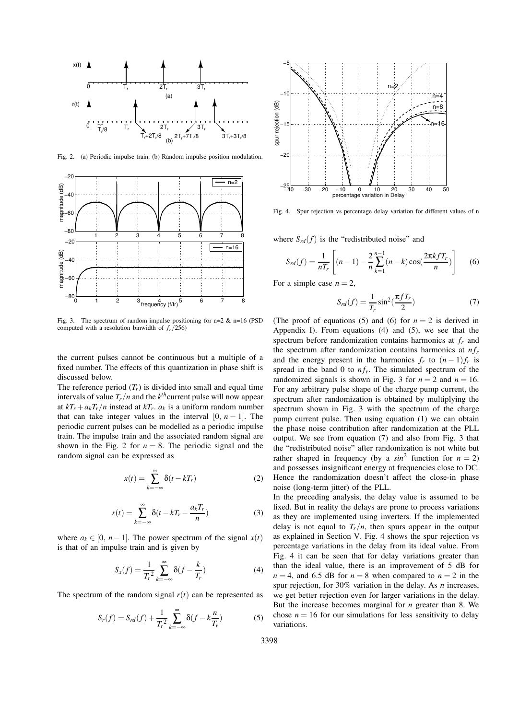

Fig. 2. (a) Periodic impulse train. (b) Random impulse position modulation.



Fig. 3. The spectrum of random impulse positioning for  $n=2$  &  $n=16$  (PSD computed with a resolution binwidth of *fr*/256)

the current pulses cannot be continuous but a multiple of a fixed number. The effects of this quantization in phase shift is discussed below.

The reference period  $(T_r)$  is divided into small and equal time intervals of value  $T_r/n$  and the  $k^{th}$  current pulse will now appear at  $kT_r + a_kT_r/n$  instead at  $kT_r$ .  $a_k$  is a uniform random number that can take integer values in the interval  $[0, n-1]$ . The periodic current pulses can be modelled as a periodic impulse train. The impulse train and the associated random signal are shown in the Fig. 2 for  $n = 8$ . The periodic signal and the random signal can be expressed as

$$
x(t) = \sum_{k=-\infty}^{\infty} \delta(t - kT_r)
$$
 (2)

$$
r(t) = \sum_{k=-\infty}^{\infty} \delta(t - kT_r - \frac{a_k T_r}{n})
$$
\n(3)

where  $a_k \in [0, n-1]$ . The power spectrum of the signal  $x(t)$ is that of an impulse train and is given by

$$
S_x(f) = \frac{1}{T_r^2} \sum_{k=-\infty}^{\infty} \delta(f - \frac{k}{T_r})
$$
 (4)

The spectrum of the random signal  $r(t)$  can be represented as

$$
S_r(f) = S_{rd}(f) + \frac{1}{T_r^2} \sum_{k=-\infty}^{\infty} \delta(f - k\frac{n}{T_r})
$$
 (5)



Fig. 4. Spur rejection vs percentage delay variation for different values of n

where  $S_{rd}(f)$  is the "redistributed noise" and

$$
S_{rd}(f) = \frac{1}{nT_r} \left[ (n-1) - \frac{2}{n} \sum_{k=1}^{n-1} (n-k) \cos(\frac{2\pi k f T_r}{n}) \right] \tag{6}
$$

For a simple case  $n = 2$ ,

$$
S_{rd}(f) = \frac{1}{T_r} \sin^2(\frac{\pi f T_r}{2})
$$
\n(7)

(The proof of equations (5) and (6) for  $n = 2$  is derived in Appendix I). From equations (4) and (5), we see that the spectrum before randomization contains harmonics at *f<sup>r</sup>* and the spectrum after randomization contains harmonics at  $nf_r$ and the energy present in the harmonics  $f_r$  to  $(n-1)f_r$  is spread in the band 0 to  $nf_r$ . The simulated spectrum of the randomized signals is shown in Fig. 3 for  $n = 2$  and  $n = 16$ . For any arbitrary pulse shape of the charge pump current, the spectrum after randomization is obtained by multiplying the spectrum shown in Fig. 3 with the spectrum of the charge pump current pulse. Then using equation (1) we can obtain the phase noise contribution after randomization at the PLL output. We see from equation (7) and also from Fig. 3 that the "redistributed noise" after randomization is not white but rather shaped in frequency (by a  $sin^2$  function for  $n = 2$ ) and possesses insignificant energy at frequencies close to DC. Hence the randomization doesn't affect the close-in phase noise (long-term jitter) of the PLL.

In the preceding analysis, the delay value is assumed to be fixed. But in reality the delays are prone to process variations as they are implemented using inverters. If the implemented delay is not equal to  $T_r/n$ , then spurs appear in the output as explained in Section V. Fig. 4 shows the spur rejection vs percentage variations in the delay from its ideal value. From Fig. 4 it can be seen that for delay variations greater than than the ideal value, there is an improvement of 5 dB for  $n = 4$ , and 6.5 dB for  $n = 8$  when compared to  $n = 2$  in the spur rejection, for 30% variation in the delay. As *n* increases, we get better rejection even for larger variations in the delay. But the increase becomes marginal for *n* greater than 8. We chose  $n = 16$  for our simulations for less sensitivity to delay variations.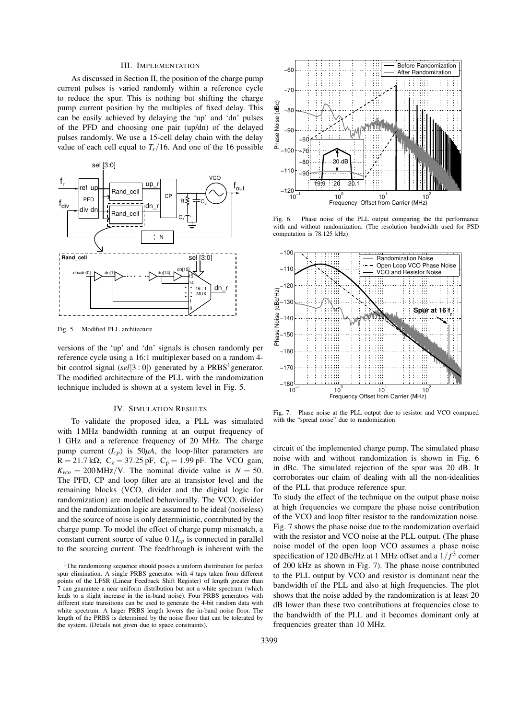# III. IMPLEMENTATION

As discussed in Section II, the position of the charge pump current pulses is varied randomly within a reference cycle to reduce the spur. This is nothing but shifting the charge pump current position by the multiples of fixed delay. This can be easily achieved by delaying the 'up' and 'dn' pulses of the PFD and choosing one pair (up/dn) of the delayed pulses randomly. We use a 15-cell delay chain with the delay value of each cell equal to  $T_r/16$ . And one of the 16 possible



Fig. 5. Modified PLL architecture

versions of the 'up' and 'dn' signals is chosen randomly per reference cycle using a 16:1 multiplexer based on a random 4 bit control signal (*sel*[3 : 0]) generated by a PRBS<sup>1</sup> generator. The modified architecture of the PLL with the randomization technique included is shown at a system level in Fig. 5.

#### IV. SIMULATION RESULTS

To validate the proposed idea, a PLL was simulated with 1MHz bandwidth running at an output frequency of 1 GHz and a reference frequency of 20 MHz. The charge pump current  $(I_{cp})$  is 50 $\mu$ A, the loop-filter parameters are R = 21.7 k $\Omega$ , C<sub>z</sub> = 37.25 pF, C<sub>p</sub> = 1.99 pF. The VCO gain,  $K_{vco} = 200 \text{ MHz/V}$ . The nominal divide value is  $N = 50$ . The PFD, CP and loop filter are at transistor level and the remaining blocks (VCO, divider and the digital logic for randomization) are modelled behaviorally. The VCO, divider and the randomization logic are assumed to be ideal (noiseless) and the source of noise is only deterministic, contributed by the charge pump. To model the effect of charge pump mismatch, a constant current source of value 0.1*Icp* is connected in parallel to the sourcing current. The feedthrough is inherent with the



Fig. 6. Phase noise of the PLL output comparing the the performance with and without randomization. (The resolution bandwidth used for PSD computation is 78.125 kHz)



Fig. 7. Phase noise at the PLL output due to resistor and VCO compared with the "spread noise" due to randomization

circuit of the implemented charge pump. The simulated phase noise with and without randomization is shown in Fig. 6 in dBc. The simulated rejection of the spur was 20 dB. It corroborates our claim of dealing with all the non-idealities of the PLL that produce reference spur.

To study the effect of the technique on the output phase noise at high frequencies we compare the phase noise contribution of the VCO and loop filter resistor to the randomization noise. Fig. 7 shows the phase noise due to the randomization overlaid with the resistor and VCO noise at the PLL output. (The phase noise model of the open loop VCO assumes a phase noise specification of 120 dBc/Hz at 1 MHz offset and a  $1/f<sup>3</sup>$  corner of 200 kHz as shown in Fig. 7). The phase noise contributed to the PLL output by VCO and resistor is dominant near the bandwidth of the PLL and also at high frequencies. The plot shows that the noise added by the randomization is at least 20 dB lower than these two contributions at frequencies close to the bandwidth of the PLL and it becomes dominant only at frequencies greater than 10 MHz.

<sup>&</sup>lt;sup>1</sup>The randomizing sequence should posses a uniform distribution for perfect spur elimination. A single PRBS generator with 4 taps taken from different points of the LFSR (Linear Feedback Shift Register) of length greater than 7 can guarantee a near uniform distribution but not a white spectrum (which leads to a slight increase in the in-band noise). Four PRBS generators with different state transitions can be used to generate the 4-bit random data with white spectrum. A larger PRBS length lowers the in-band noise floor. The length of the PRBS is determined by the noise floor that can be tolerated by the system. (Details not given due to space constraints).